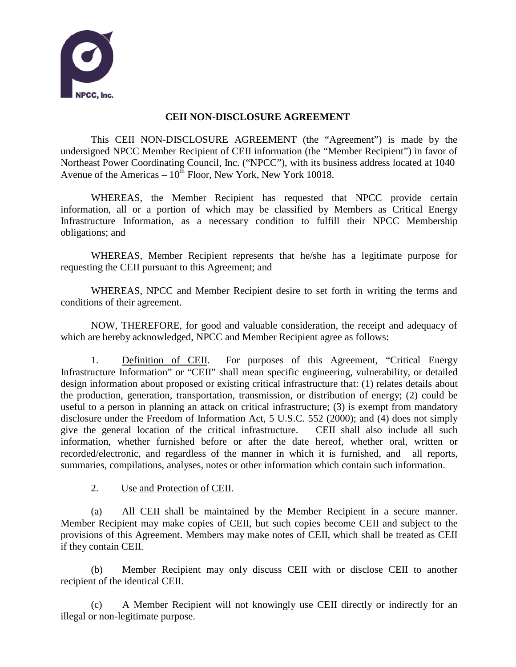

## **CEII NON-DISCLOSURE AGREEMENT**

This CEII NON-DISCLOSURE AGREEMENT (the "Agreement") is made by the undersigned NPCC Member Recipient of CEII information (the "Member Recipient") in favor of Northeast Power Coordinating Council, Inc. ("NPCC"), with its business address located at 1040 Avenue of the Americas –  $10^{th}$  Floor, New York, New York 10018.

WHEREAS, the Member Recipient has requested that NPCC provide certain information, all or a portion of which may be classified by Members as Critical Energy Infrastructure Information, as a necessary condition to fulfill their NPCC Membership obligations; and

WHEREAS, Member Recipient represents that he/she has a legitimate purpose for requesting the CEII pursuant to this Agreement; and

WHEREAS, NPCC and Member Recipient desire to set forth in writing the terms and conditions of their agreement.

NOW, THEREFORE, for good and valuable consideration, the receipt and adequacy of which are hereby acknowledged, NPCC and Member Recipient agree as follows:

1. Definition of CEII. For purposes of this Agreement, "Critical Energy Infrastructure Information" or "CEII" shall mean specific engineering, vulnerability, or detailed design information about proposed or existing critical infrastructure that: (1) relates details about the production, generation, transportation, transmission, or distribution of energy; (2) could be useful to a person in planning an attack on critical infrastructure; (3) is exempt from mandatory disclosure under the Freedom of Information Act, 5 U.S.C. 552 (2000); and (4) does not simply give the general location of the critical infrastructure. CEII shall also include all such information, whether furnished before or after the date hereof, whether oral, written or recorded/electronic, and regardless of the manner in which it is furnished, and all reports, summaries, compilations, analyses, notes or other information which contain such information.

2. Use and Protection of CEII.

(a) All CEII shall be maintained by the Member Recipient in a secure manner. Member Recipient may make copies of CEII, but such copies become CEII and subject to the provisions of this Agreement. Members may make notes of CEII, which shall be treated as CEII if they contain CEII.

(b) Member Recipient may only discuss CEII with or disclose CEII to another recipient of the identical CEII.

(c) A Member Recipient will not knowingly use CEII directly or indirectly for an illegal or non-legitimate purpose.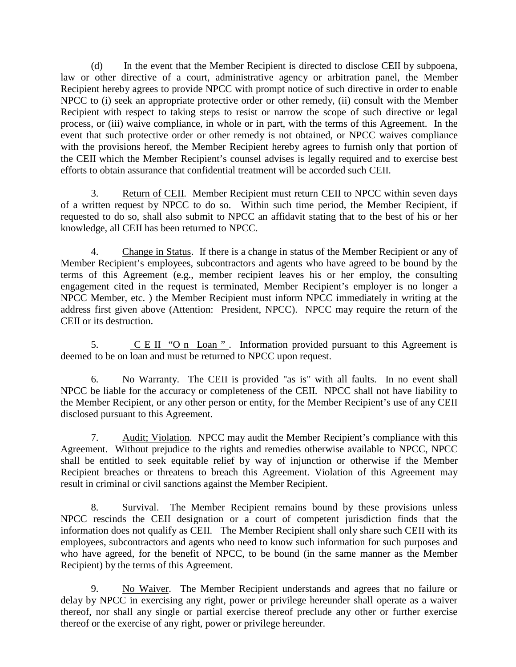(d) In the event that the Member Recipient is directed to disclose CEII by subpoena, law or other directive of a court, administrative agency or arbitration panel, the Member Recipient hereby agrees to provide NPCC with prompt notice of such directive in order to enable NPCC to (i) seek an appropriate protective order or other remedy, (ii) consult with the Member Recipient with respect to taking steps to resist or narrow the scope of such directive or legal process, or (iii) waive compliance, in whole or in part, with the terms of this Agreement. In the event that such protective order or other remedy is not obtained, or NPCC waives compliance with the provisions hereof, the Member Recipient hereby agrees to furnish only that portion of the CEII which the Member Recipient's counsel advises is legally required and to exercise best efforts to obtain assurance that confidential treatment will be accorded such CEII.

3. Return of CEII. Member Recipient must return CEII to NPCC within seven days of a written request by NPCC to do so. Within such time period, the Member Recipient, if requested to do so, shall also submit to NPCC an affidavit stating that to the best of his or her knowledge, all CEII has been returned to NPCC.

4. Change in Status. If there is a change in status of the Member Recipient or any of Member Recipient's employees, subcontractors and agents who have agreed to be bound by the terms of this Agreement (e.g., member recipient leaves his or her employ, the consulting engagement cited in the request is terminated, Member Recipient's employer is no longer a NPCC Member, etc. ) the Member Recipient must inform NPCC immediately in writing at the address first given above (Attention: President, NPCC). NPCC may require the return of the CEII or its destruction.

5.  $C E II 'O n Loan''.$  Information provided pursuant to this Agreement is deemed to be on loan and must be returned to NPCC upon request.

6. No Warranty. The CEII is provided "as is" with all faults. In no event shall NPCC be liable for the accuracy or completeness of the CEII. NPCC shall not have liability to the Member Recipient, or any other person or entity, for the Member Recipient's use of any CEII disclosed pursuant to this Agreement.

7. Audit; Violation. NPCC may audit the Member Recipient's compliance with this Agreement. Without prejudice to the rights and remedies otherwise available to NPCC, NPCC shall be entitled to seek equitable relief by way of injunction or otherwise if the Member Recipient breaches or threatens to breach this Agreement. Violation of this Agreement may result in criminal or civil sanctions against the Member Recipient.

8. Survival. The Member Recipient remains bound by these provisions unless NPCC rescinds the CEII designation or a court of competent jurisdiction finds that the information does not qualify as CEII. The Member Recipient shall only share such CEII with its employees, subcontractors and agents who need to know such information for such purposes and who have agreed, for the benefit of NPCC, to be bound (in the same manner as the Member Recipient) by the terms of this Agreement.

9. No Waiver. The Member Recipient understands and agrees that no failure or delay by NPCC in exercising any right, power or privilege hereunder shall operate as a waiver thereof, nor shall any single or partial exercise thereof preclude any other or further exercise thereof or the exercise of any right, power or privilege hereunder.